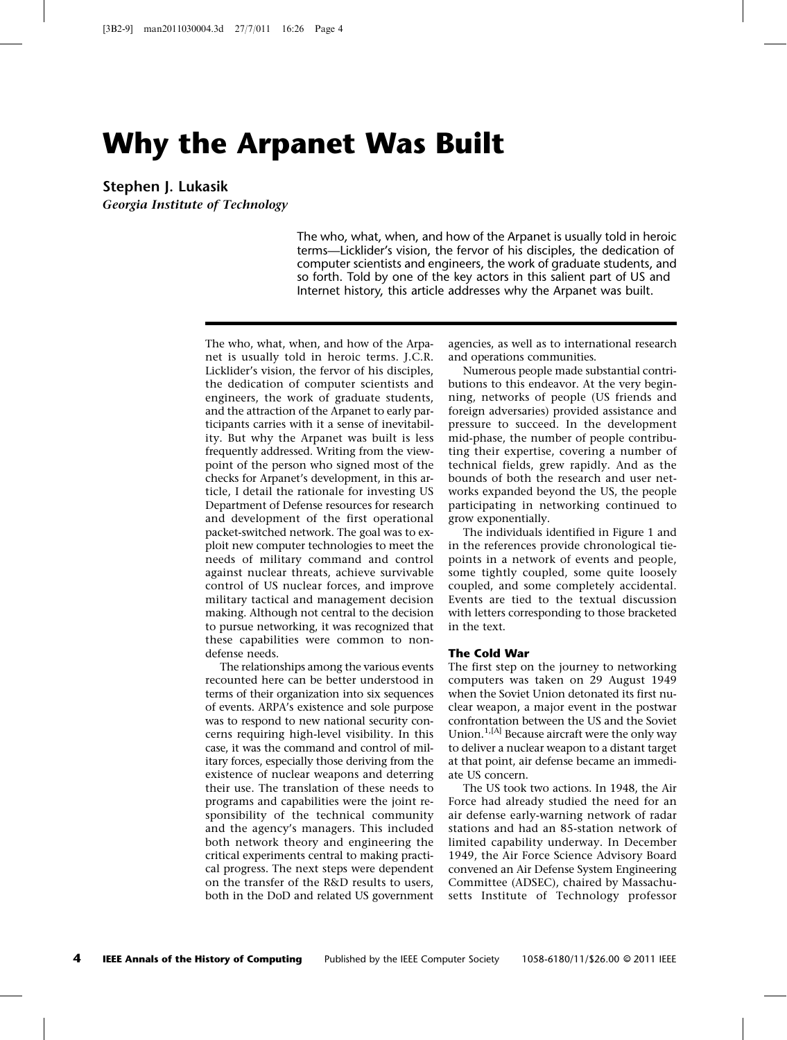# Why the Arpanet Was Built

# Stephen J. Lukasik

Georgia Institute of Technology

The who, what, when, and how of the Arpanet is usually told in heroic terms—Licklider's vision, the fervor of his disciples, the dedication of computer scientists and engineers, the work of graduate students, and so forth. Told by one of the key actors in this salient part of US and Internet history, this article addresses why the Arpanet was built.

The who, what, when, and how of the Arpanet is usually told in heroic terms. J.C.R. Licklider's vision, the fervor of his disciples, the dedication of computer scientists and engineers, the work of graduate students, and the attraction of the Arpanet to early participants carries with it a sense of inevitability. But why the Arpanet was built is less frequently addressed. Writing from the viewpoint of the person who signed most of the checks for Arpanet's development, in this article, I detail the rationale for investing US Department of Defense resources for research and development of the first operational packet-switched network. The goal was to exploit new computer technologies to meet the needs of military command and control against nuclear threats, achieve survivable control of US nuclear forces, and improve military tactical and management decision making. Although not central to the decision to pursue networking, it was recognized that these capabilities were common to nondefense needs.

The relationships among the various events recounted here can be better understood in terms of their organization into six sequences of events. ARPA's existence and sole purpose was to respond to new national security concerns requiring high-level visibility. In this case, it was the command and control of military forces, especially those deriving from the existence of nuclear weapons and deterring their use. The translation of these needs to programs and capabilities were the joint responsibility of the technical community and the agency's managers. This included both network theory and engineering the critical experiments central to making practical progress. The next steps were dependent on the transfer of the R&D results to users, both in the DoD and related US government agencies, as well as to international research and operations communities.

Numerous people made substantial contributions to this endeavor. At the very beginning, networks of people (US friends and foreign adversaries) provided assistance and pressure to succeed. In the development mid-phase, the number of people contributing their expertise, covering a number of technical fields, grew rapidly. And as the bounds of both the research and user networks expanded beyond the US, the people participating in networking continued to grow exponentially.

The individuals identified in Figure 1 and in the references provide chronological tiepoints in a network of events and people, some tightly coupled, some quite loosely coupled, and some completely accidental. Events are tied to the textual discussion with letters corresponding to those bracketed in the text.

#### The Cold War

The first step on the journey to networking computers was taken on 29 August 1949 when the Soviet Union detonated its first nuclear weapon, a major event in the postwar confrontation between the US and the Soviet Union.<sup>1,[A]</sup> Because aircraft were the only way to deliver a nuclear weapon to a distant target at that point, air defense became an immediate US concern.

The US took two actions. In 1948, the Air Force had already studied the need for an air defense early-warning network of radar stations and had an 85-station network of limited capability underway. In December 1949, the Air Force Science Advisory Board convened an Air Defense System Engineering Committee (ADSEC), chaired by Massachusetts Institute of Technology professor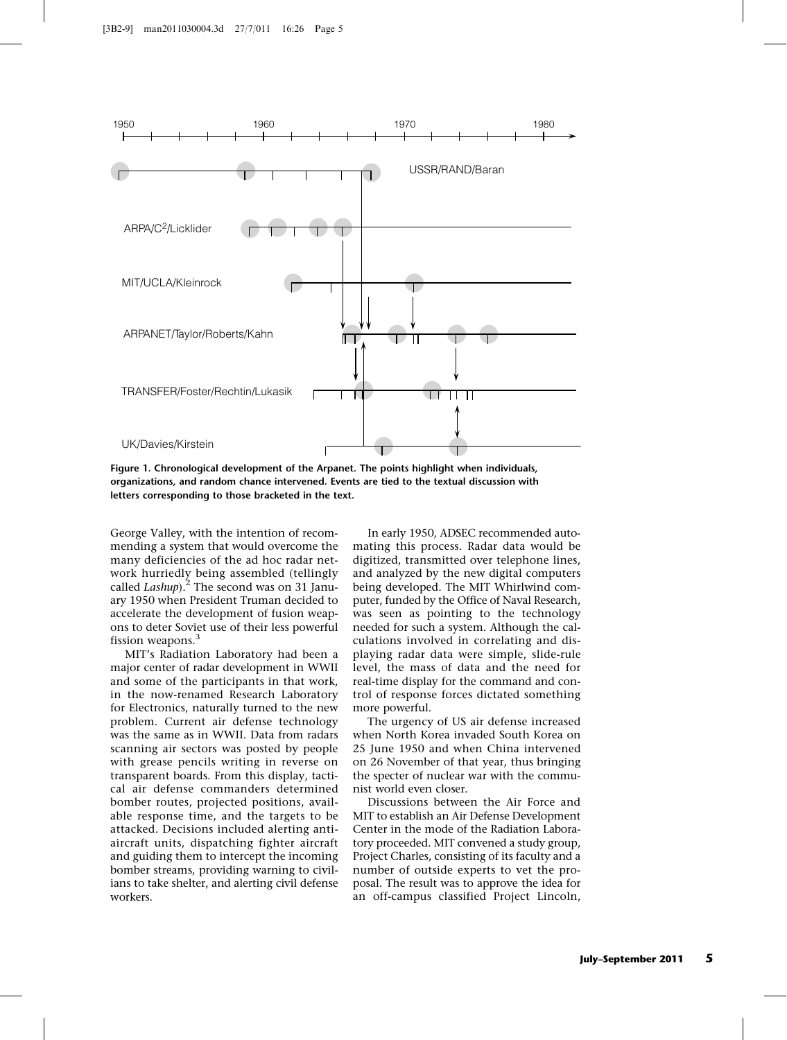

Figure 1. Chronological development of the Arpanet. The points highlight when individuals, organizations, and random chance intervened. Events are tied to the textual discussion with letters corresponding to those bracketed in the text.

George Valley, with the intention of recommending a system that would overcome the many deficiencies of the ad hoc radar network hurriedly being assembled (tellingly called Lashup). $^2$  The second was on 31 January 1950 when President Truman decided to accelerate the development of fusion weapons to deter Soviet use of their less powerful fission weapons.<sup>3</sup>

MIT's Radiation Laboratory had been a major center of radar development in WWII and some of the participants in that work, in the now-renamed Research Laboratory for Electronics, naturally turned to the new problem. Current air defense technology was the same as in WWII. Data from radars scanning air sectors was posted by people with grease pencils writing in reverse on transparent boards. From this display, tactical air defense commanders determined bomber routes, projected positions, available response time, and the targets to be attacked. Decisions included alerting antiaircraft units, dispatching fighter aircraft and guiding them to intercept the incoming bomber streams, providing warning to civilians to take shelter, and alerting civil defense workers.

In early 1950, ADSEC recommended automating this process. Radar data would be digitized, transmitted over telephone lines, and analyzed by the new digital computers being developed. The MIT Whirlwind computer, funded by the Office of Naval Research, was seen as pointing to the technology needed for such a system. Although the calculations involved in correlating and displaying radar data were simple, slide-rule level, the mass of data and the need for real-time display for the command and control of response forces dictated something more powerful.

The urgency of US air defense increased when North Korea invaded South Korea on 25 June 1950 and when China intervened on 26 November of that year, thus bringing the specter of nuclear war with the communist world even closer.

Discussions between the Air Force and MIT to establish an Air Defense Development Center in the mode of the Radiation Laboratory proceeded. MIT convened a study group, Project Charles, consisting of its faculty and a number of outside experts to vet the proposal. The result was to approve the idea for an off-campus classified Project Lincoln,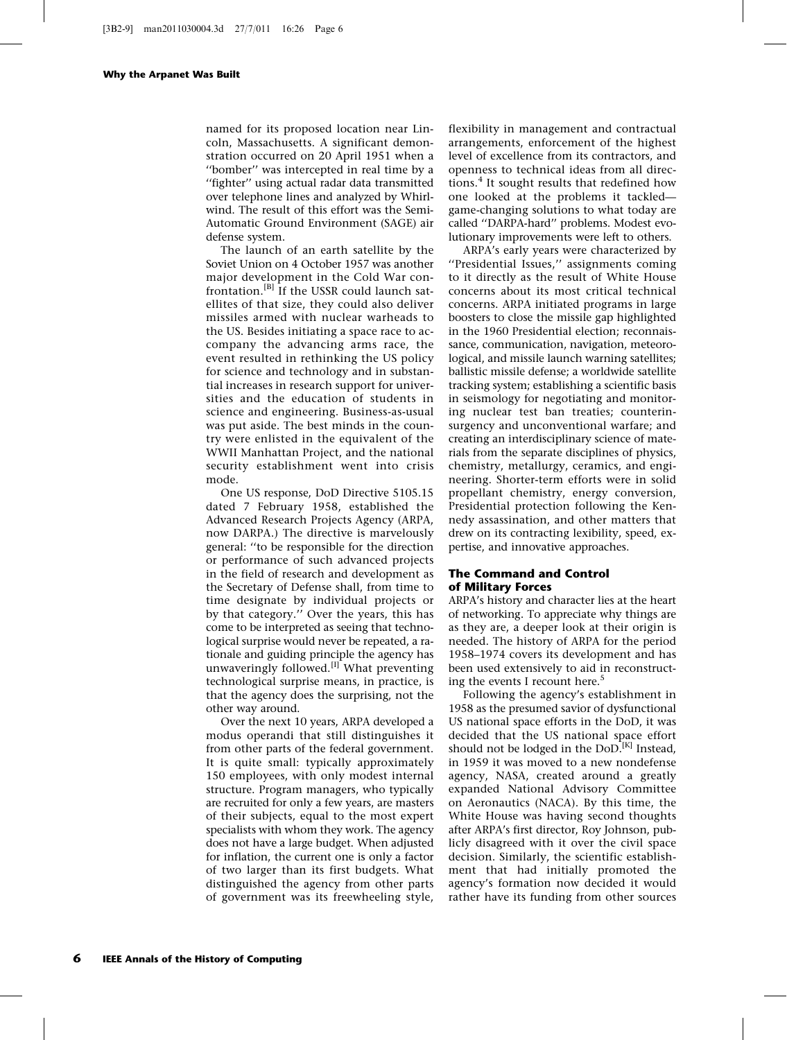named for its proposed location near Lincoln, Massachusetts. A significant demonstration occurred on 20 April 1951 when a "bomber" was intercepted in real time by a "fighter" using actual radar data transmitted over telephone lines and analyzed by Whirlwind. The result of this effort was the Semi-Automatic Ground Environment (SAGE) air defense system.

The launch of an earth satellite by the Soviet Union on 4 October 1957 was another major development in the Cold War confrontation.<sup>[B]</sup> If the USSR could launch satellites of that size, they could also deliver missiles armed with nuclear warheads to the US. Besides initiating a space race to accompany the advancing arms race, the event resulted in rethinking the US policy for science and technology and in substantial increases in research support for universities and the education of students in science and engineering. Business-as-usual was put aside. The best minds in the country were enlisted in the equivalent of the WWII Manhattan Project, and the national security establishment went into crisis mode.

One US response, DoD Directive 5105.15 dated 7 February 1958, established the Advanced Research Projects Agency (ARPA, now DARPA.) The directive is marvelously general: ''to be responsible for the direction or performance of such advanced projects in the field of research and development as the Secretary of Defense shall, from time to time designate by individual projects or by that category.'' Over the years, this has come to be interpreted as seeing that technological surprise would never be repeated, a rationale and guiding principle the agency has unwaveringly followed.<sup>[I]</sup> What preventing technological surprise means, in practice, is that the agency does the surprising, not the other way around.

Over the next 10 years, ARPA developed a modus operandi that still distinguishes it from other parts of the federal government. It is quite small: typically approximately 150 employees, with only modest internal structure. Program managers, who typically are recruited for only a few years, are masters of their subjects, equal to the most expert specialists with whom they work. The agency does not have a large budget. When adjusted for inflation, the current one is only a factor of two larger than its first budgets. What distinguished the agency from other parts of government was its freewheeling style,

flexibility in management and contractual arrangements, enforcement of the highest level of excellence from its contractors, and openness to technical ideas from all directions.<sup>4</sup> It sought results that redefined how one looked at the problems it tackled game-changing solutions to what today are called ''DARPA-hard'' problems. Modest evolutionary improvements were left to others.

ARPA's early years were characterized by ''Presidential Issues,'' assignments coming to it directly as the result of White House concerns about its most critical technical concerns. ARPA initiated programs in large boosters to close the missile gap highlighted in the 1960 Presidential election; reconnaissance, communication, navigation, meteorological, and missile launch warning satellites; ballistic missile defense; a worldwide satellite tracking system; establishing a scientific basis in seismology for negotiating and monitoring nuclear test ban treaties; counterinsurgency and unconventional warfare; and creating an interdisciplinary science of materials from the separate disciplines of physics, chemistry, metallurgy, ceramics, and engineering. Shorter-term efforts were in solid propellant chemistry, energy conversion, Presidential protection following the Kennedy assassination, and other matters that drew on its contracting lexibility, speed, expertise, and innovative approaches.

#### The Command and Control of Military Forces

ARPA's history and character lies at the heart of networking. To appreciate why things are as they are, a deeper look at their origin is needed. The history of ARPA for the period 1958–1974 covers its development and has been used extensively to aid in reconstructing the events I recount here.<sup>5</sup>

Following the agency's establishment in 1958 as the presumed savior of dysfunctional US national space efforts in the DoD, it was decided that the US national space effort should not be lodged in the  $DoD<sup>[K]</sup>$  Instead, in 1959 it was moved to a new nondefense agency, NASA, created around a greatly expanded National Advisory Committee on Aeronautics (NACA). By this time, the White House was having second thoughts after ARPA's first director, Roy Johnson, publicly disagreed with it over the civil space decision. Similarly, the scientific establishment that had initially promoted the agency's formation now decided it would rather have its funding from other sources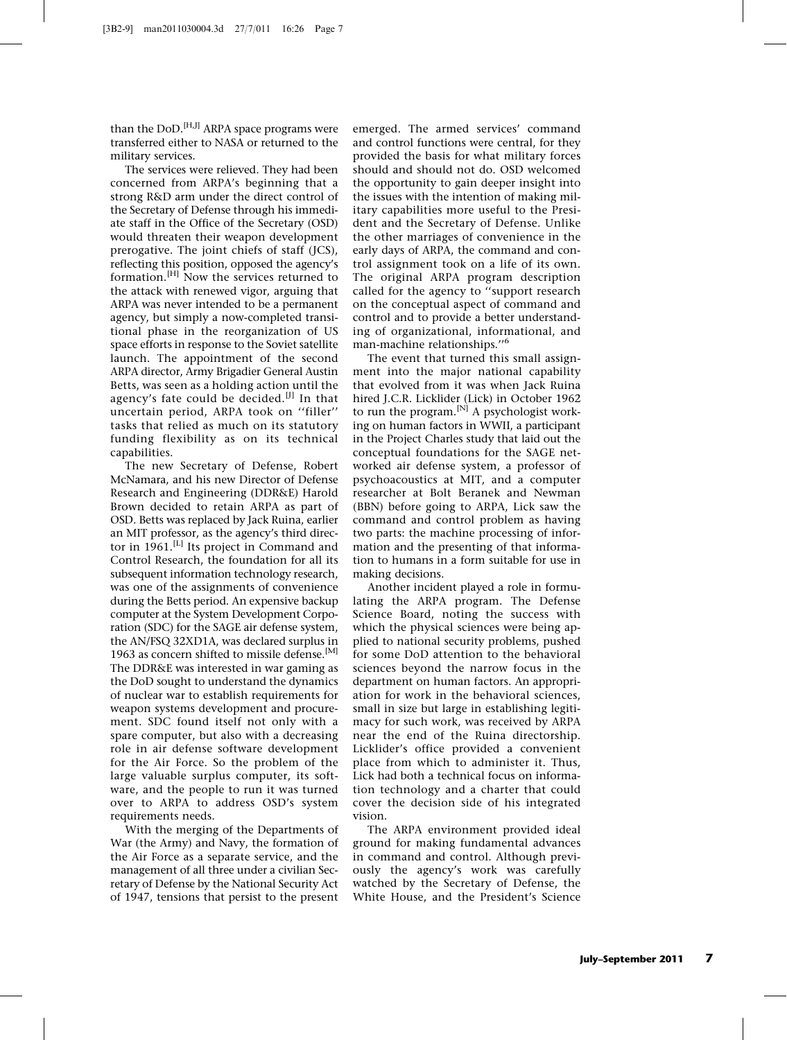than the  $DoD.$ <sup>[H,J]</sup> ARPA space programs were transferred either to NASA or returned to the military services.

The services were relieved. They had been concerned from ARPA's beginning that a strong R&D arm under the direct control of the Secretary of Defense through his immediate staff in the Office of the Secretary (OSD) would threaten their weapon development prerogative. The joint chiefs of staff (JCS), reflecting this position, opposed the agency's formation.[H] Now the services returned to the attack with renewed vigor, arguing that ARPA was never intended to be a permanent agency, but simply a now-completed transitional phase in the reorganization of US space efforts in response to the Soviet satellite launch. The appointment of the second ARPA director, Army Brigadier General Austin Betts, was seen as a holding action until the agency's fate could be decided.<sup>[J]</sup> In that uncertain period, ARPA took on ''filler'' tasks that relied as much on its statutory funding flexibility as on its technical capabilities.

The new Secretary of Defense, Robert McNamara, and his new Director of Defense Research and Engineering (DDR&E) Harold Brown decided to retain ARPA as part of OSD. Betts was replaced by Jack Ruina, earlier an MIT professor, as the agency's third director in 1961.<sup>[L]</sup> Its project in Command and Control Research, the foundation for all its subsequent information technology research, was one of the assignments of convenience during the Betts period. An expensive backup computer at the System Development Corporation (SDC) for the SAGE air defense system, the AN/FSQ 32XD1A, was declared surplus in 1963 as concern shifted to missile defense.  $[M]$ The DDR&E was interested in war gaming as the DoD sought to understand the dynamics of nuclear war to establish requirements for weapon systems development and procurement. SDC found itself not only with a spare computer, but also with a decreasing role in air defense software development for the Air Force. So the problem of the large valuable surplus computer, its software, and the people to run it was turned over to ARPA to address OSD's system requirements needs.

With the merging of the Departments of War (the Army) and Navy, the formation of the Air Force as a separate service, and the management of all three under a civilian Secretary of Defense by the National Security Act of 1947, tensions that persist to the present emerged. The armed services' command and control functions were central, for they provided the basis for what military forces should and should not do. OSD welcomed the opportunity to gain deeper insight into the issues with the intention of making military capabilities more useful to the President and the Secretary of Defense. Unlike the other marriages of convenience in the early days of ARPA, the command and control assignment took on a life of its own. The original ARPA program description called for the agency to ''support research on the conceptual aspect of command and control and to provide a better understanding of organizational, informational, and man-machine relationships.''<sup>6</sup>

The event that turned this small assignment into the major national capability that evolved from it was when Jack Ruina hired J.C.R. Licklider (Lick) in October 1962 to run the program. $[N]$  A psychologist working on human factors in WWII, a participant in the Project Charles study that laid out the conceptual foundations for the SAGE networked air defense system, a professor of psychoacoustics at MIT, and a computer researcher at Bolt Beranek and Newman (BBN) before going to ARPA, Lick saw the command and control problem as having two parts: the machine processing of information and the presenting of that information to humans in a form suitable for use in making decisions.

Another incident played a role in formulating the ARPA program. The Defense Science Board, noting the success with which the physical sciences were being applied to national security problems, pushed for some DoD attention to the behavioral sciences beyond the narrow focus in the department on human factors. An appropriation for work in the behavioral sciences, small in size but large in establishing legitimacy for such work, was received by ARPA near the end of the Ruina directorship. Licklider's office provided a convenient place from which to administer it. Thus, Lick had both a technical focus on information technology and a charter that could cover the decision side of his integrated vision.

The ARPA environment provided ideal ground for making fundamental advances in command and control. Although previously the agency's work was carefully watched by the Secretary of Defense, the White House, and the President's Science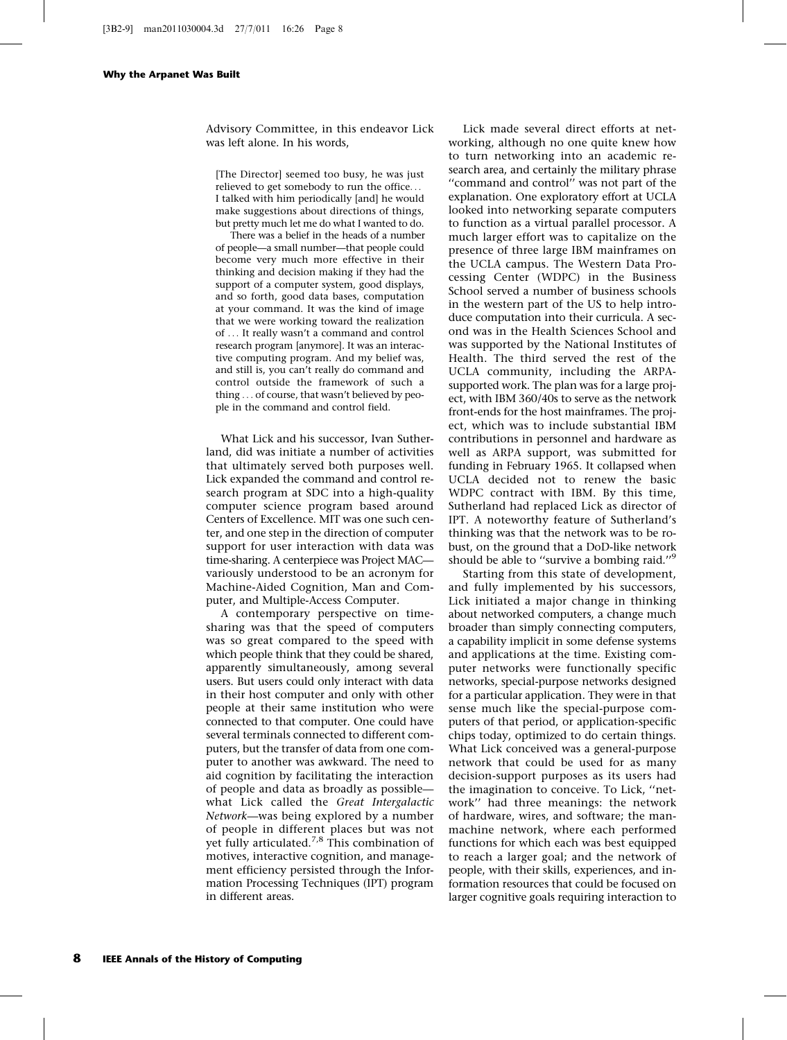Advisory Committee, in this endeavor Lick was left alone. In his words,

[The Director] seemed too busy, he was just relieved to get somebody to run the office... I talked with him periodically [and] he would make suggestions about directions of things, but pretty much let me do what I wanted to do.

There was a belief in the heads of a number of people—a small number—that people could become very much more effective in their thinking and decision making if they had the support of a computer system, good displays, and so forth, good data bases, computation at your command. It was the kind of image that we were working toward the realization of ... It really wasn't a command and control research program [anymore]. It was an interactive computing program. And my belief was, and still is, you can't really do command and control outside the framework of such a thing ... of course, that wasn't believed by people in the command and control field.

What Lick and his successor, Ivan Sutherland, did was initiate a number of activities that ultimately served both purposes well. Lick expanded the command and control research program at SDC into a high-quality computer science program based around Centers of Excellence. MIT was one such center, and one step in the direction of computer support for user interaction with data was time-sharing. A centerpiece was Project MAC variously understood to be an acronym for Machine-Aided Cognition, Man and Computer, and Multiple-Access Computer.

A contemporary perspective on timesharing was that the speed of computers was so great compared to the speed with which people think that they could be shared, apparently simultaneously, among several users. But users could only interact with data in their host computer and only with other people at their same institution who were connected to that computer. One could have several terminals connected to different computers, but the transfer of data from one computer to another was awkward. The need to aid cognition by facilitating the interaction of people and data as broadly as possible what Lick called the Great Intergalactic Network—was being explored by a number of people in different places but was not yet fully articulated.<sup>7,8</sup> This combination of motives, interactive cognition, and management efficiency persisted through the Information Processing Techniques (IPT) program in different areas.

Lick made several direct efforts at networking, although no one quite knew how to turn networking into an academic research area, and certainly the military phrase ''command and control'' was not part of the explanation. One exploratory effort at UCLA looked into networking separate computers to function as a virtual parallel processor. A much larger effort was to capitalize on the presence of three large IBM mainframes on the UCLA campus. The Western Data Processing Center (WDPC) in the Business School served a number of business schools in the western part of the US to help introduce computation into their curricula. A second was in the Health Sciences School and was supported by the National Institutes of Health. The third served the rest of the UCLA community, including the ARPAsupported work. The plan was for a large project, with IBM 360/40s to serve as the network front-ends for the host mainframes. The project, which was to include substantial IBM contributions in personnel and hardware as well as ARPA support, was submitted for funding in February 1965. It collapsed when UCLA decided not to renew the basic WDPC contract with IBM. By this time, Sutherland had replaced Lick as director of IPT. A noteworthy feature of Sutherland's thinking was that the network was to be robust, on the ground that a DoD-like network should be able to "survive a bombing raid."<sup>9</sup>

Starting from this state of development, and fully implemented by his successors, Lick initiated a major change in thinking about networked computers, a change much broader than simply connecting computers, a capability implicit in some defense systems and applications at the time. Existing computer networks were functionally specific networks, special-purpose networks designed for a particular application. They were in that sense much like the special-purpose computers of that period, or application-specific chips today, optimized to do certain things. What Lick conceived was a general-purpose network that could be used for as many decision-support purposes as its users had the imagination to conceive. To Lick, ''network'' had three meanings: the network of hardware, wires, and software; the manmachine network, where each performed functions for which each was best equipped to reach a larger goal; and the network of people, with their skills, experiences, and information resources that could be focused on larger cognitive goals requiring interaction to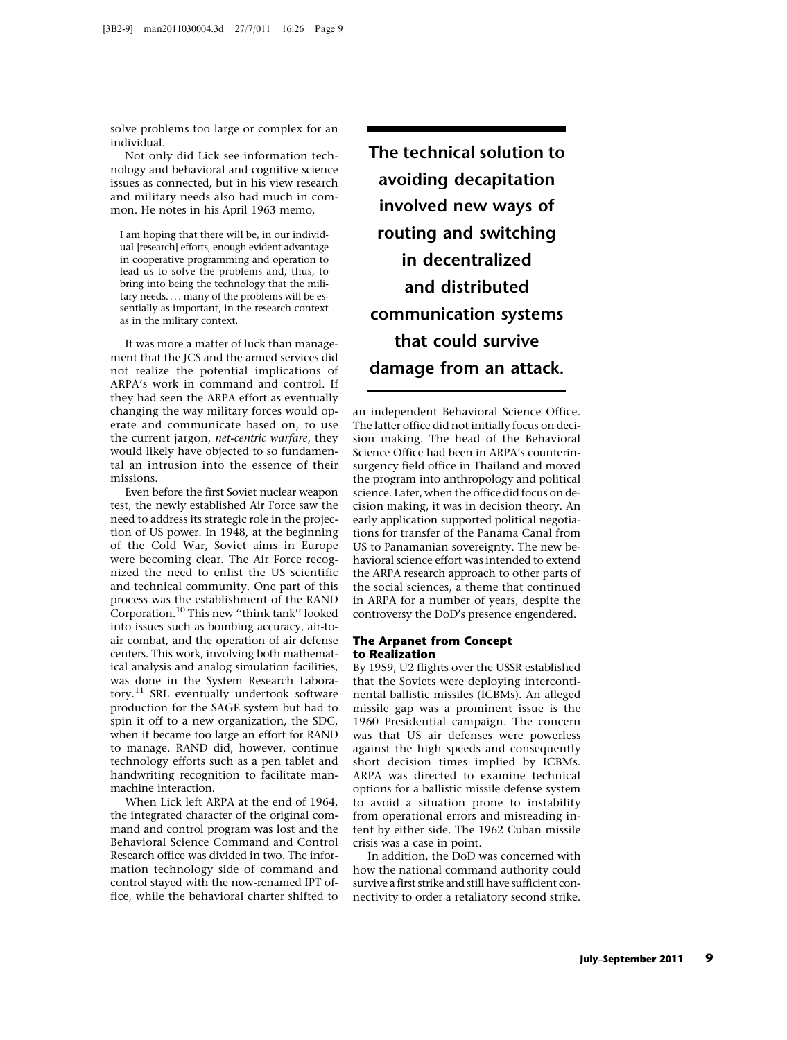solve problems too large or complex for an individual.

Not only did Lick see information technology and behavioral and cognitive science issues as connected, but in his view research and military needs also had much in common. He notes in his April 1963 memo,

I am hoping that there will be, in our individual [research] efforts, enough evident advantage in cooperative programming and operation to lead us to solve the problems and, thus, to bring into being the technology that the military needs. ... many of the problems will be essentially as important, in the research context as in the military context.

It was more a matter of luck than management that the JCS and the armed services did not realize the potential implications of ARPA's work in command and control. If they had seen the ARPA effort as eventually changing the way military forces would operate and communicate based on, to use the current jargon, net-centric warfare, they would likely have objected to so fundamental an intrusion into the essence of their missions.

Even before the first Soviet nuclear weapon test, the newly established Air Force saw the need to address its strategic role in the projection of US power. In 1948, at the beginning of the Cold War, Soviet aims in Europe were becoming clear. The Air Force recognized the need to enlist the US scientific and technical community. One part of this process was the establishment of the RAND Corporation.10 This new ''think tank'' looked into issues such as bombing accuracy, air-toair combat, and the operation of air defense centers. This work, involving both mathematical analysis and analog simulation facilities, was done in the System Research Laboratory.11 SRL eventually undertook software production for the SAGE system but had to spin it off to a new organization, the SDC, when it became too large an effort for RAND to manage. RAND did, however, continue technology efforts such as a pen tablet and handwriting recognition to facilitate manmachine interaction.

When Lick left ARPA at the end of 1964, the integrated character of the original command and control program was lost and the Behavioral Science Command and Control Research office was divided in two. The information technology side of command and control stayed with the now-renamed IPT office, while the behavioral charter shifted to

The technical solution to avoiding decapitation involved new ways of routing and switching in decentralized and distributed communication systems that could survive damage from an attack.

an independent Behavioral Science Office. The latter office did not initially focus on decision making. The head of the Behavioral Science Office had been in ARPA's counterinsurgency field office in Thailand and moved the program into anthropology and political science. Later, when the office did focus on decision making, it was in decision theory. An early application supported political negotiations for transfer of the Panama Canal from US to Panamanian sovereignty. The new behavioral science effort was intended to extend the ARPA research approach to other parts of the social sciences, a theme that continued in ARPA for a number of years, despite the controversy the DoD's presence engendered.

#### The Arpanet from Concept to Realization

By 1959, U2 flights over the USSR established that the Soviets were deploying intercontinental ballistic missiles (ICBMs). An alleged missile gap was a prominent issue is the 1960 Presidential campaign. The concern was that US air defenses were powerless against the high speeds and consequently short decision times implied by ICBMs. ARPA was directed to examine technical options for a ballistic missile defense system to avoid a situation prone to instability from operational errors and misreading intent by either side. The 1962 Cuban missile crisis was a case in point.

In addition, the DoD was concerned with how the national command authority could survive a first strike and still have sufficient connectivity to order a retaliatory second strike.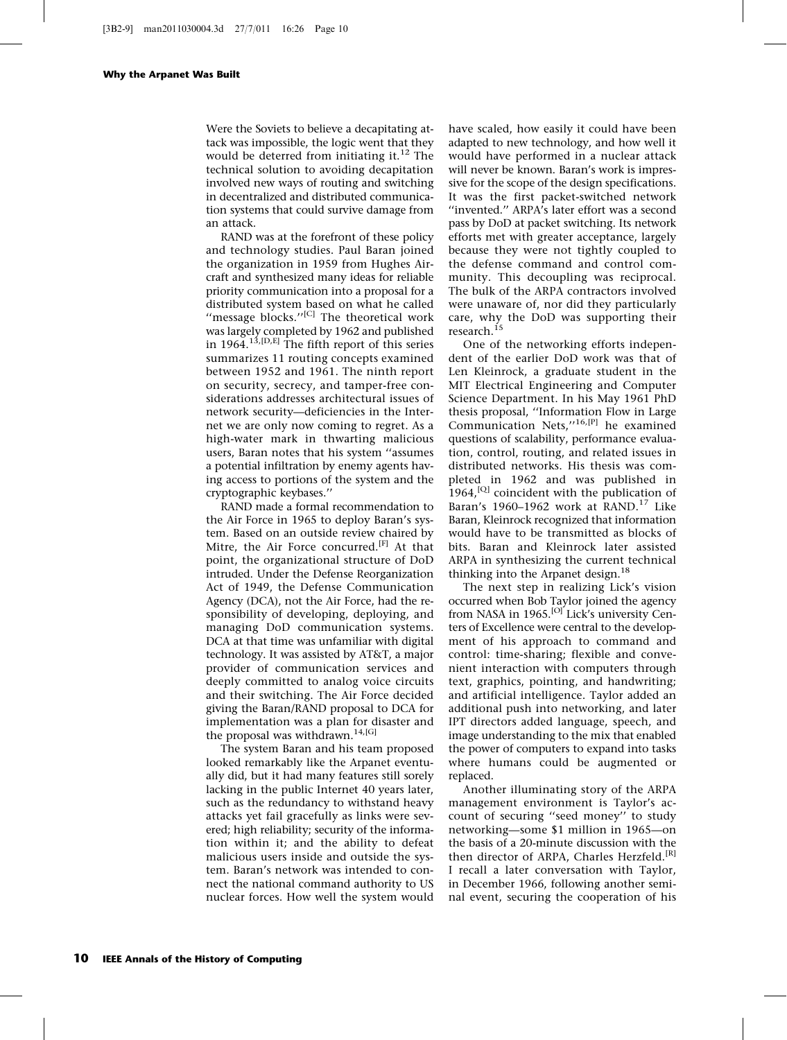Were the Soviets to believe a decapitating attack was impossible, the logic went that they would be deterred from initiating it.<sup>12</sup> The technical solution to avoiding decapitation involved new ways of routing and switching in decentralized and distributed communication systems that could survive damage from an attack.

RAND was at the forefront of these policy and technology studies. Paul Baran joined the organization in 1959 from Hughes Aircraft and synthesized many ideas for reliable priority communication into a proposal for a distributed system based on what he called "message blocks."<sup>[C]</sup> The theoretical work was largely completed by 1962 and published in 1964.<sup>13,[D,E]</sup> The fifth report of this series summarizes 11 routing concepts examined between 1952 and 1961. The ninth report on security, secrecy, and tamper-free considerations addresses architectural issues of network security—deficiencies in the Internet we are only now coming to regret. As a high-water mark in thwarting malicious users, Baran notes that his system ''assumes a potential infiltration by enemy agents having access to portions of the system and the cryptographic keybases.''

RAND made a formal recommendation to the Air Force in 1965 to deploy Baran's system. Based on an outside review chaired by Mitre, the Air Force concurred.<sup>[F]</sup> At that point, the organizational structure of DoD intruded. Under the Defense Reorganization Act of 1949, the Defense Communication Agency (DCA), not the Air Force, had the responsibility of developing, deploying, and managing DoD communication systems. DCA at that time was unfamiliar with digital technology. It was assisted by AT&T, a major provider of communication services and deeply committed to analog voice circuits and their switching. The Air Force decided giving the Baran/RAND proposal to DCA for implementation was a plan for disaster and the proposal was withdrawn.<sup>14,[G]</sup>

The system Baran and his team proposed looked remarkably like the Arpanet eventually did, but it had many features still sorely lacking in the public Internet 40 years later, such as the redundancy to withstand heavy attacks yet fail gracefully as links were severed; high reliability; security of the information within it; and the ability to defeat malicious users inside and outside the system. Baran's network was intended to connect the national command authority to US nuclear forces. How well the system would

have scaled, how easily it could have been adapted to new technology, and how well it would have performed in a nuclear attack will never be known. Baran's work is impressive for the scope of the design specifications. It was the first packet-switched network ''invented.'' ARPA's later effort was a second pass by DoD at packet switching. Its network efforts met with greater acceptance, largely because they were not tightly coupled to the defense command and control community. This decoupling was reciprocal. The bulk of the ARPA contractors involved were unaware of, nor did they particularly care, why the DoD was supporting their research.<sup>15</sup>

One of the networking efforts independent of the earlier DoD work was that of Len Kleinrock, a graduate student in the MIT Electrical Engineering and Computer Science Department. In his May 1961 PhD thesis proposal, ''Information Flow in Large Communication Nets,''16,[P] he examined questions of scalability, performance evaluation, control, routing, and related issues in distributed networks. His thesis was completed in 1962 and was published in 1964,<sup>[Q]</sup> coincident with the publication of Baran's 1960-1962 work at RAND.<sup>17</sup> Like Baran, Kleinrock recognized that information would have to be transmitted as blocks of bits. Baran and Kleinrock later assisted ARPA in synthesizing the current technical thinking into the Arpanet design.<sup>18</sup>

The next step in realizing Lick's vision occurred when Bob Taylor joined the agency from NASA in 1965.<sup>[O]</sup> Lick's university Centers of Excellence were central to the development of his approach to command and control: time-sharing; flexible and convenient interaction with computers through text, graphics, pointing, and handwriting; and artificial intelligence. Taylor added an additional push into networking, and later IPT directors added language, speech, and image understanding to the mix that enabled the power of computers to expand into tasks where humans could be augmented or replaced.

Another illuminating story of the ARPA management environment is Taylor's account of securing ''seed money'' to study networking—some \$1 million in 1965—on the basis of a 20-minute discussion with the then director of ARPA, Charles Herzfeld.<sup>[R]</sup> I recall a later conversation with Taylor, in December 1966, following another seminal event, securing the cooperation of his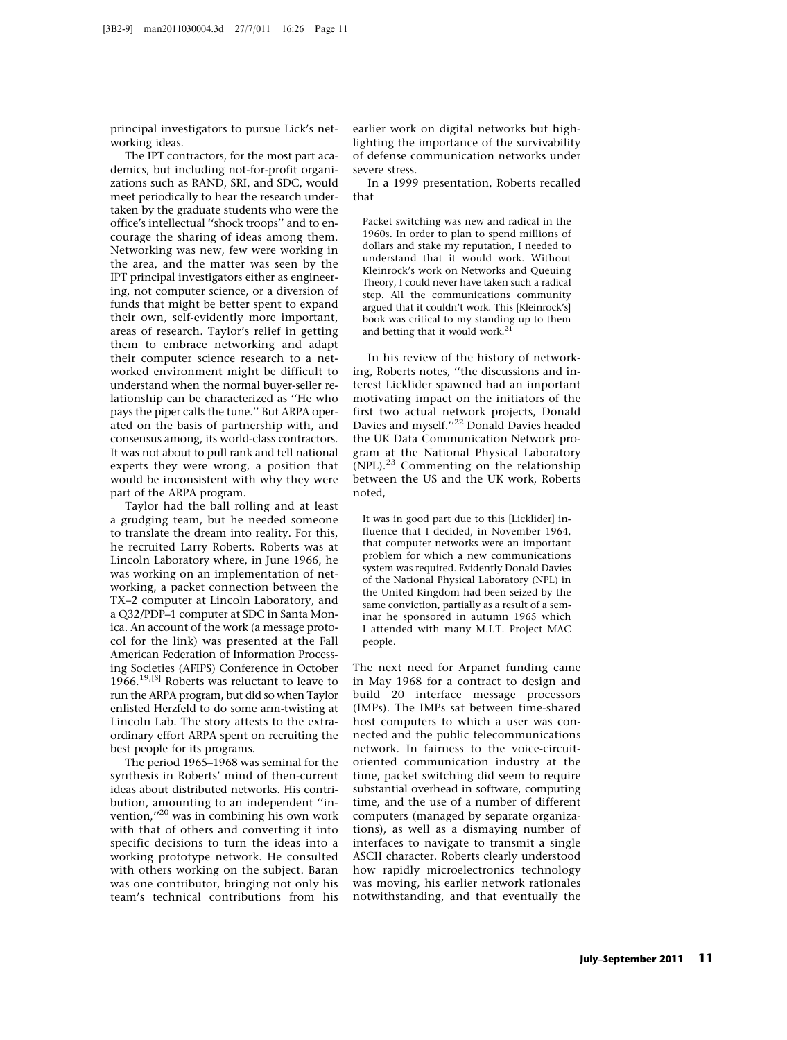principal investigators to pursue Lick's networking ideas.

The IPT contractors, for the most part academics, but including not-for-profit organizations such as RAND, SRI, and SDC, would meet periodically to hear the research undertaken by the graduate students who were the office's intellectual ''shock troops'' and to encourage the sharing of ideas among them. Networking was new, few were working in the area, and the matter was seen by the IPT principal investigators either as engineering, not computer science, or a diversion of funds that might be better spent to expand their own, self-evidently more important, areas of research. Taylor's relief in getting them to embrace networking and adapt their computer science research to a networked environment might be difficult to understand when the normal buyer-seller relationship can be characterized as ''He who pays the piper calls the tune.'' But ARPA operated on the basis of partnership with, and consensus among, its world-class contractors. It was not about to pull rank and tell national experts they were wrong, a position that would be inconsistent with why they were part of the ARPA program.

Taylor had the ball rolling and at least a grudging team, but he needed someone to translate the dream into reality. For this, he recruited Larry Roberts. Roberts was at Lincoln Laboratory where, in June 1966, he was working on an implementation of networking, a packet connection between the TX–2 computer at Lincoln Laboratory, and a Q32/PDP–1 computer at SDC in Santa Monica. An account of the work (a message protocol for the link) was presented at the Fall American Federation of Information Processing Societies (AFIPS) Conference in October  $1966$ .<sup>19,[S]</sup> Roberts was reluctant to leave to run the ARPA program, but did so when Taylor enlisted Herzfeld to do some arm-twisting at Lincoln Lab. The story attests to the extraordinary effort ARPA spent on recruiting the best people for its programs.

The period 1965–1968 was seminal for the synthesis in Roberts' mind of then-current ideas about distributed networks. His contribution, amounting to an independent ''invention,''20 was in combining his own work with that of others and converting it into specific decisions to turn the ideas into a working prototype network. He consulted with others working on the subject. Baran was one contributor, bringing not only his team's technical contributions from his

earlier work on digital networks but highlighting the importance of the survivability of defense communication networks under severe stress.

In a 1999 presentation, Roberts recalled that

Packet switching was new and radical in the 1960s. In order to plan to spend millions of dollars and stake my reputation, I needed to understand that it would work. Without Kleinrock's work on Networks and Queuing Theory, I could never have taken such a radical step. All the communications community argued that it couldn't work. This [Kleinrock's] book was critical to my standing up to them and betting that it would work. $21$ 

In his review of the history of networking, Roberts notes, ''the discussions and interest Licklider spawned had an important motivating impact on the initiators of the first two actual network projects, Donald Davies and myself.''22 Donald Davies headed the UK Data Communication Network program at the National Physical Laboratory  $(NPL).$ <sup>23</sup> Commenting on the relationship between the US and the UK work, Roberts noted,

It was in good part due to this [Licklider] influence that I decided, in November 1964, that computer networks were an important problem for which a new communications system was required. Evidently Donald Davies of the National Physical Laboratory (NPL) in the United Kingdom had been seized by the same conviction, partially as a result of a seminar he sponsored in autumn 1965 which I attended with many M.I.T. Project MAC people.

The next need for Arpanet funding came in May 1968 for a contract to design and build 20 interface message processors (IMPs). The IMPs sat between time-shared host computers to which a user was connected and the public telecommunications network. In fairness to the voice-circuitoriented communication industry at the time, packet switching did seem to require substantial overhead in software, computing time, and the use of a number of different computers (managed by separate organizations), as well as a dismaying number of interfaces to navigate to transmit a single ASCII character. Roberts clearly understood how rapidly microelectronics technology was moving, his earlier network rationales notwithstanding, and that eventually the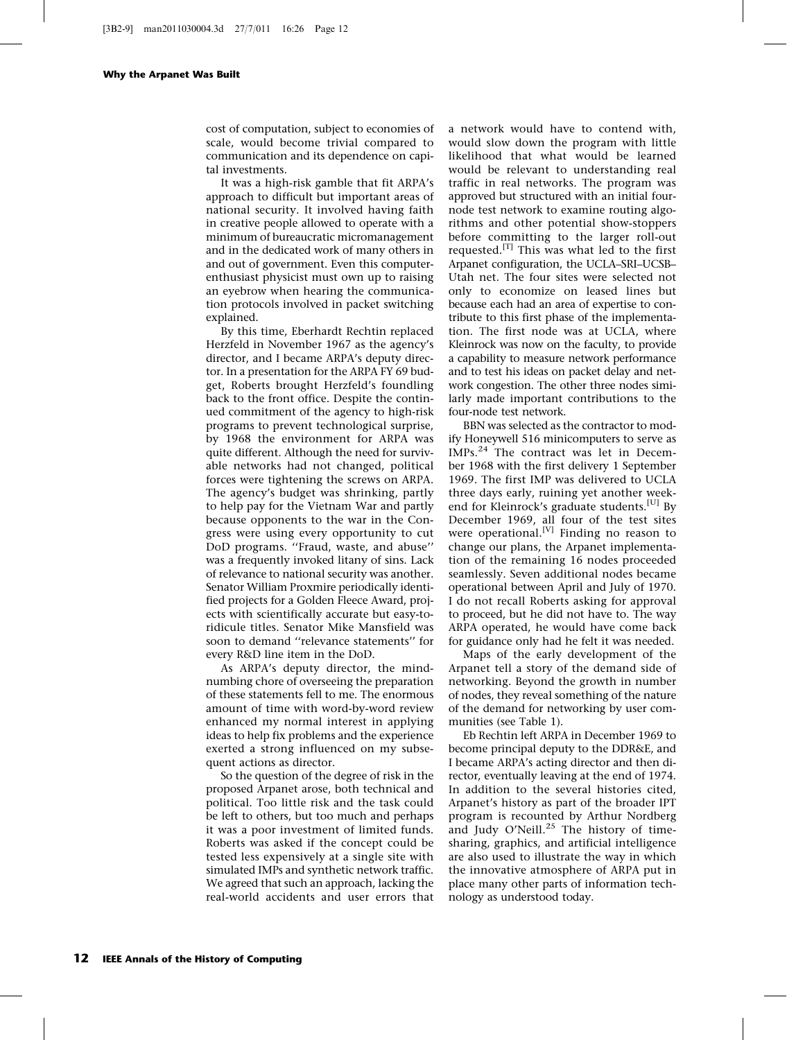cost of computation, subject to economies of scale, would become trivial compared to communication and its dependence on capital investments.

It was a high-risk gamble that fit ARPA's approach to difficult but important areas of national security. It involved having faith in creative people allowed to operate with a minimum of bureaucratic micromanagement and in the dedicated work of many others in and out of government. Even this computerenthusiast physicist must own up to raising an eyebrow when hearing the communication protocols involved in packet switching explained.

By this time, Eberhardt Rechtin replaced Herzfeld in November 1967 as the agency's director, and I became ARPA's deputy director. In a presentation for the ARPA FY 69 budget, Roberts brought Herzfeld's foundling back to the front office. Despite the continued commitment of the agency to high-risk programs to prevent technological surprise, by 1968 the environment for ARPA was quite different. Although the need for survivable networks had not changed, political forces were tightening the screws on ARPA. The agency's budget was shrinking, partly to help pay for the Vietnam War and partly because opponents to the war in the Congress were using every opportunity to cut DoD programs. ''Fraud, waste, and abuse'' was a frequently invoked litany of sins. Lack of relevance to national security was another. Senator William Proxmire periodically identified projects for a Golden Fleece Award, projects with scientifically accurate but easy-toridicule titles. Senator Mike Mansfield was soon to demand ''relevance statements'' for every R&D line item in the DoD.

As ARPA's deputy director, the mindnumbing chore of overseeing the preparation of these statements fell to me. The enormous amount of time with word-by-word review enhanced my normal interest in applying ideas to help fix problems and the experience exerted a strong influenced on my subsequent actions as director.

So the question of the degree of risk in the proposed Arpanet arose, both technical and political. Too little risk and the task could be left to others, but too much and perhaps it was a poor investment of limited funds. Roberts was asked if the concept could be tested less expensively at a single site with simulated IMPs and synthetic network traffic. We agreed that such an approach, lacking the real-world accidents and user errors that a network would have to contend with, would slow down the program with little likelihood that what would be learned would be relevant to understanding real traffic in real networks. The program was approved but structured with an initial fournode test network to examine routing algorithms and other potential show-stoppers before committing to the larger roll-out requested.<sup>[T]</sup> This was what led to the first Arpanet configuration, the UCLA–SRI–UCSB– Utah net. The four sites were selected not only to economize on leased lines but because each had an area of expertise to contribute to this first phase of the implementation. The first node was at UCLA, where Kleinrock was now on the faculty, to provide a capability to measure network performance and to test his ideas on packet delay and network congestion. The other three nodes similarly made important contributions to the four-node test network.

BBN was selected as the contractor to modify Honeywell 516 minicomputers to serve as IMPs.<sup>24</sup> The contract was let in December 1968 with the first delivery 1 September 1969. The first IMP was delivered to UCLA three days early, ruining yet another weekend for Kleinrock's graduate students.<sup>[U]</sup> By December 1969, all four of the test sites were operational.<sup>[V]</sup> Finding no reason to change our plans, the Arpanet implementation of the remaining 16 nodes proceeded seamlessly. Seven additional nodes became operational between April and July of 1970. I do not recall Roberts asking for approval to proceed, but he did not have to. The way ARPA operated, he would have come back for guidance only had he felt it was needed.

Maps of the early development of the Arpanet tell a story of the demand side of networking. Beyond the growth in number of nodes, they reveal something of the nature of the demand for networking by user communities (see Table 1).

Eb Rechtin left ARPA in December 1969 to become principal deputy to the DDR&E, and I became ARPA's acting director and then director, eventually leaving at the end of 1974. In addition to the several histories cited, Arpanet's history as part of the broader IPT program is recounted by Arthur Nordberg and Judy O'Neill.<sup>25</sup> The history of timesharing, graphics, and artificial intelligence are also used to illustrate the way in which the innovative atmosphere of ARPA put in place many other parts of information technology as understood today.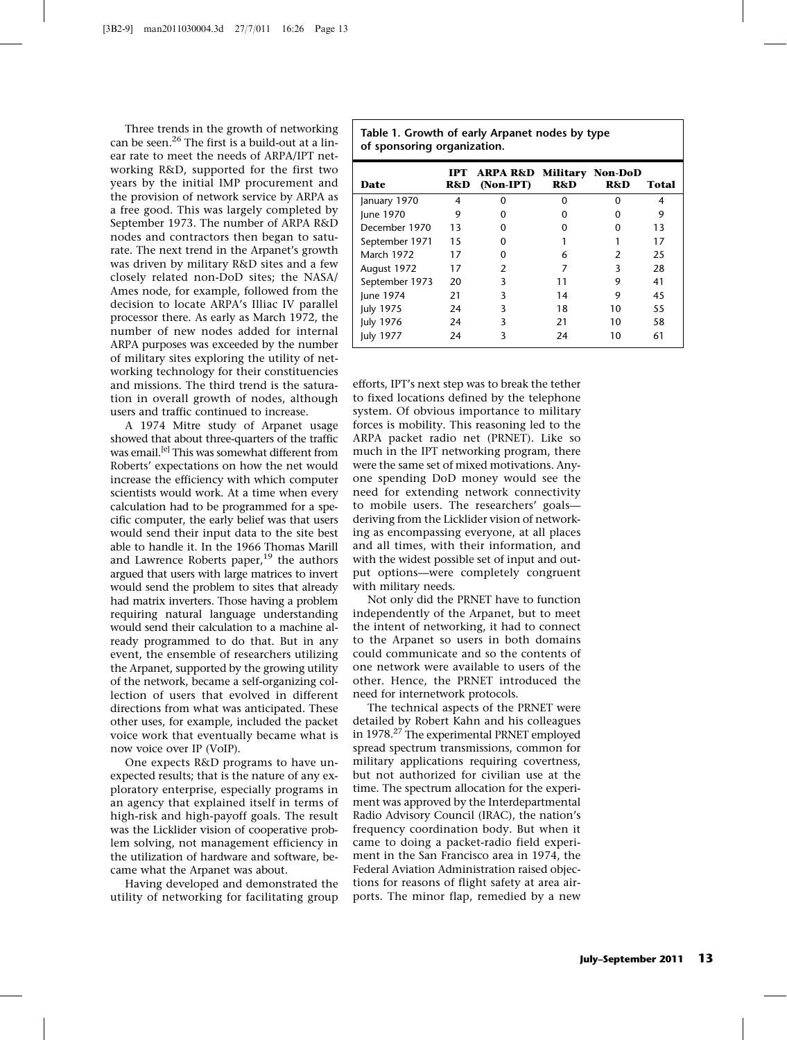Three trends in the growth of networking can be seen.<sup>26</sup> The first is a build-out at a linear rate to meet the needs of ARPA/IPT networking R&D, supported for the first two years by the initial IMP procurement and the provision of network service by ARPA as a free good. This was largely completed by September 1973. The number of ARPA R&D nodes and contractors then began to saturate. The next trend in the Arpanet's growth was driven by military R&D sites and a few closely related non-DoD sites; the NASA/ Ames node, for example, followed from the decision to locate ARPA's Illiac IV parallel processor there. As early as March 1972, the number of new nodes added for internal ARPA purposes was exceeded by the number of military sites exploring the utility of networking technology for their constituencies and missions. The third trend is the saturation in overall growth of nodes, although users and traffic continued to increase.

A 1974 Mitre study of Arpanet usage showed that about three-quarters of the traffic was email.<sup>[e]</sup> This was somewhat different from Roberts' expectations on how the net would increase the efficiency with which computer scientists would work. At a time when every calculation had to be programmed for a specific computer, the early belief was that users would send their input data to the site best able to handle it. In the 1966 Thomas Marill and Lawrence Roberts paper, $19$  the authors argued that users with large matrices to invert would send the problem to sites that already had matrix inverters. Those having a problem requiring natural language understanding would send their calculation to a machine already programmed to do that. But in any event, the ensemble of researchers utilizing the Arpanet, supported by the growing utility of the network, became a self-organizing collection of users that evolved in different directions from what was anticipated. These other uses, for example, included the packet voice work that eventually became what is now voice over IP (VoIP).

One expects R&D programs to have unexpected results; that is the nature of any exploratory enterprise, especially programs in an agency that explained itself in terms of high-risk and high-payoff goals. The result was the Licklider vision of cooperative problem solving, not management efficiency in the utilization of hardware and software, became what the Arpanet was about.

Having developed and demonstrated the utility of networking for facilitating group

| Table T. Growth of early Arpanet nodes by type<br>of sponsoring organization. |             |                                           |                |                       |       |
|-------------------------------------------------------------------------------|-------------|-------------------------------------------|----------------|-----------------------|-------|
| Date                                                                          | IPT.<br>R&D | <b>ARPA R&amp;D Military</b><br>(Non-IPT) | <b>R&amp;D</b> | <b>Non-DoD</b><br>R&D | Total |
| January 1970                                                                  | 4           | O                                         | O              | Ω                     | 4     |
| June 1970                                                                     | 9           | U                                         | 0              | O                     | 9     |
| December 1970                                                                 | 13          | ი                                         | 0              | 0                     | 13    |
| September 1971                                                                | 15          | O                                         |                |                       | 17    |
| <b>March 1972</b>                                                             | 17          | O                                         | 6              | 2                     | 25    |
| August 1972                                                                   | 17          | $\mathcal{P}$                             | 7              | 3                     | 28    |
| September 1973                                                                | 20          | 3                                         | 11             | 9                     | 41    |
| June 1974                                                                     | 21          | 3                                         | 14             | 9                     | 45    |
| <b>July 1975</b>                                                              | 24          | 3                                         | 18             | 10                    | 55    |
| July 1976                                                                     | 24          | 3                                         | 21             | 10                    | 58    |
| July 1977                                                                     | 24          | 3                                         | 24             | 10                    | 61    |

Table 1. Growth of early Arpanet nodes by type

efforts, IPT's next step was to break the tether to fixed locations defined by the telephone system. Of obvious importance to military forces is mobility. This reasoning led to the ARPA packet radio net (PRNET). Like so much in the IPT networking program, there were the same set of mixed motivations. Anyone spending DoD money would see the need for extending network connectivity to mobile users. The researchers' goals deriving from the Licklider vision of networking as encompassing everyone, at all places and all times, with their information, and with the widest possible set of input and output options—were completely congruent with military needs.

Not only did the PRNET have to function independently of the Arpanet, but to meet the intent of networking, it had to connect to the Arpanet so users in both domains could communicate and so the contents of one network were available to users of the other. Hence, the PRNET introduced the need for internetwork protocols.

The technical aspects of the PRNET were detailed by Robert Kahn and his colleagues in 1978.27 The experimental PRNET employed spread spectrum transmissions, common for military applications requiring covertness, but not authorized for civilian use at the time. The spectrum allocation for the experiment was approved by the Interdepartmental Radio Advisory Council (IRAC), the nation's frequency coordination body. But when it came to doing a packet-radio field experiment in the San Francisco area in 1974, the Federal Aviation Administration raised objections for reasons of flight safety at area airports. The minor flap, remedied by a new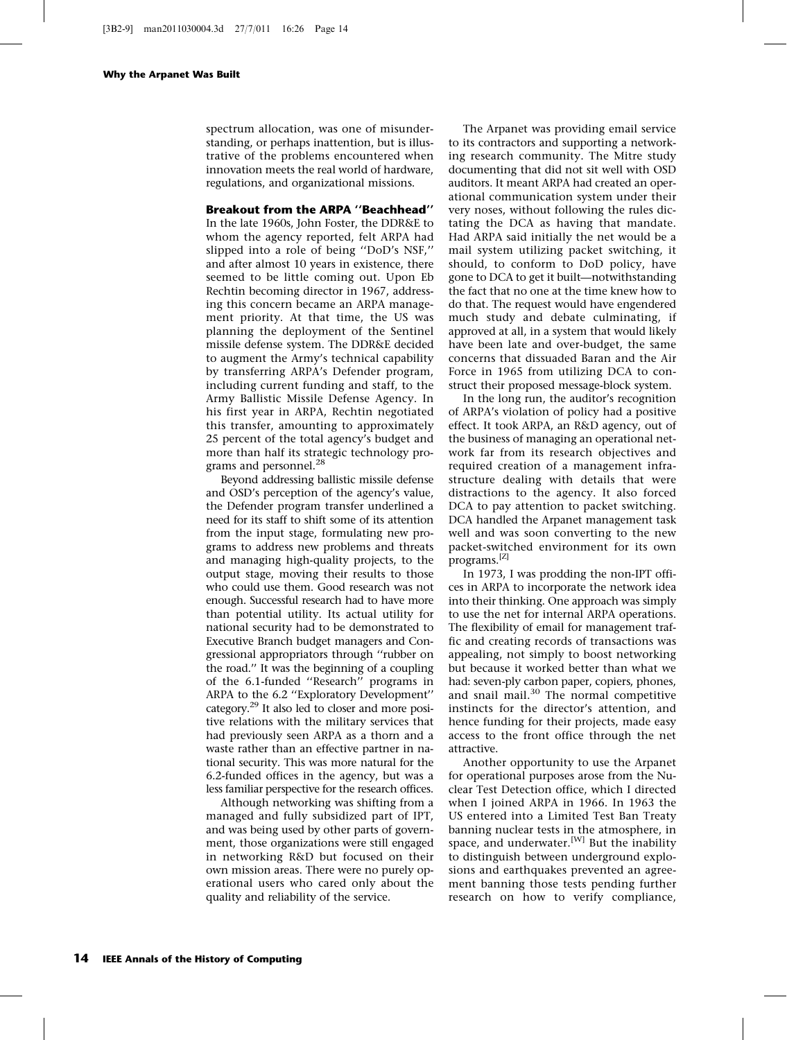spectrum allocation, was one of misunderstanding, or perhaps inattention, but is illustrative of the problems encountered when innovation meets the real world of hardware, regulations, and organizational missions.

#### Breakout from the ARPA ''Beachhead''

In the late 1960s, John Foster, the DDR&E to whom the agency reported, felt ARPA had slipped into a role of being ''DoD's NSF,'' and after almost 10 years in existence, there seemed to be little coming out. Upon Eb Rechtin becoming director in 1967, addressing this concern became an ARPA management priority. At that time, the US was planning the deployment of the Sentinel missile defense system. The DDR&E decided to augment the Army's technical capability by transferring ARPA's Defender program, including current funding and staff, to the Army Ballistic Missile Defense Agency. In his first year in ARPA, Rechtin negotiated this transfer, amounting to approximately 25 percent of the total agency's budget and more than half its strategic technology programs and personnel.<sup>28</sup>

Beyond addressing ballistic missile defense and OSD's perception of the agency's value, the Defender program transfer underlined a need for its staff to shift some of its attention from the input stage, formulating new programs to address new problems and threats and managing high-quality projects, to the output stage, moving their results to those who could use them. Good research was not enough. Successful research had to have more than potential utility. Its actual utility for national security had to be demonstrated to Executive Branch budget managers and Congressional appropriators through ''rubber on the road.'' It was the beginning of a coupling of the 6.1-funded ''Research'' programs in ARPA to the 6.2 ''Exploratory Development'' category.29 It also led to closer and more positive relations with the military services that had previously seen ARPA as a thorn and a waste rather than an effective partner in national security. This was more natural for the 6.2-funded offices in the agency, but was a less familiar perspective for the research offices.

Although networking was shifting from a managed and fully subsidized part of IPT, and was being used by other parts of government, those organizations were still engaged in networking R&D but focused on their own mission areas. There were no purely operational users who cared only about the quality and reliability of the service.

The Arpanet was providing email service to its contractors and supporting a networking research community. The Mitre study documenting that did not sit well with OSD auditors. It meant ARPA had created an operational communication system under their very noses, without following the rules dictating the DCA as having that mandate. Had ARPA said initially the net would be a mail system utilizing packet switching, it should, to conform to DoD policy, have gone to DCA to get it built—notwithstanding the fact that no one at the time knew how to do that. The request would have engendered much study and debate culminating, if approved at all, in a system that would likely have been late and over-budget, the same concerns that dissuaded Baran and the Air Force in 1965 from utilizing DCA to construct their proposed message-block system.

In the long run, the auditor's recognition of ARPA's violation of policy had a positive effect. It took ARPA, an R&D agency, out of the business of managing an operational network far from its research objectives and required creation of a management infrastructure dealing with details that were distractions to the agency. It also forced DCA to pay attention to packet switching. DCA handled the Arpanet management task well and was soon converting to the new packet-switched environment for its own programs.<sup>[Z]</sup>

In 1973, I was prodding the non-IPT offices in ARPA to incorporate the network idea into their thinking. One approach was simply to use the net for internal ARPA operations. The flexibility of email for management traffic and creating records of transactions was appealing, not simply to boost networking but because it worked better than what we had: seven-ply carbon paper, copiers, phones, and snail mail.<sup>30</sup> The normal competitive instincts for the director's attention, and hence funding for their projects, made easy access to the front office through the net attractive.

Another opportunity to use the Arpanet for operational purposes arose from the Nuclear Test Detection office, which I directed when I joined ARPA in 1966. In 1963 the US entered into a Limited Test Ban Treaty banning nuclear tests in the atmosphere, in space, and underwater.<sup>[W]</sup> But the inability to distinguish between underground explosions and earthquakes prevented an agreement banning those tests pending further research on how to verify compliance,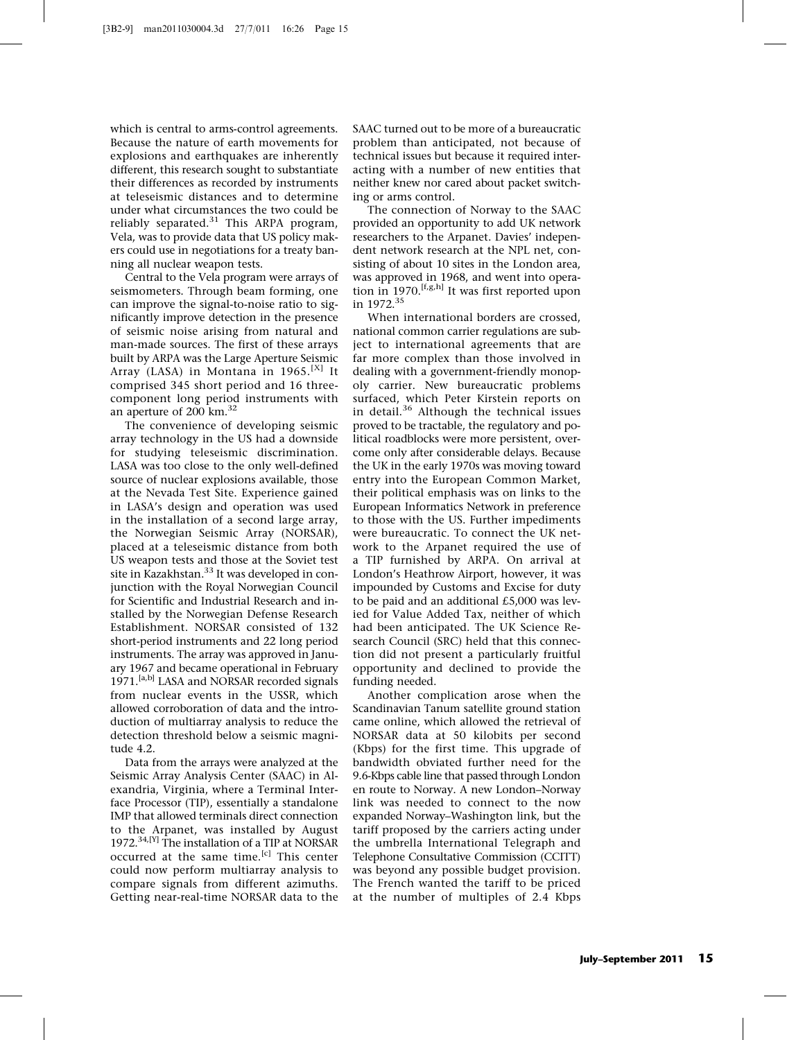which is central to arms-control agreements. Because the nature of earth movements for explosions and earthquakes are inherently different, this research sought to substantiate their differences as recorded by instruments at teleseismic distances and to determine under what circumstances the two could be reliably separated. $31$  This ARPA program, Vela, was to provide data that US policy makers could use in negotiations for a treaty banning all nuclear weapon tests.

Central to the Vela program were arrays of seismometers. Through beam forming, one can improve the signal-to-noise ratio to significantly improve detection in the presence of seismic noise arising from natural and man-made sources. The first of these arrays built by ARPA was the Large Aperture Seismic Array (LASA) in Montana in 1965.<sup>[X]</sup> It comprised 345 short period and 16 threecomponent long period instruments with an aperture of 200 km.32

The convenience of developing seismic array technology in the US had a downside for studying teleseismic discrimination. LASA was too close to the only well-defined source of nuclear explosions available, those at the Nevada Test Site. Experience gained in LASA's design and operation was used in the installation of a second large array, the Norwegian Seismic Array (NORSAR), placed at a teleseismic distance from both US weapon tests and those at the Soviet test site in Kazakhstan. $33$  It was developed in conjunction with the Royal Norwegian Council for Scientific and Industrial Research and installed by the Norwegian Defense Research Establishment. NORSAR consisted of 132 short-period instruments and 22 long period instruments. The array was approved in January 1967 and became operational in February 1971.<sup>[a,b]</sup> LASA and NORSAR recorded signals from nuclear events in the USSR, which allowed corroboration of data and the introduction of multiarray analysis to reduce the detection threshold below a seismic magnitude 4.2.

Data from the arrays were analyzed at the Seismic Array Analysis Center (SAAC) in Alexandria, Virginia, where a Terminal Interface Processor (TIP), essentially a standalone IMP that allowed terminals direct connection to the Arpanet, was installed by August 1972.34,[Y] The installation of a TIP at NORSAR occurred at the same time.<sup>[c]</sup> This center could now perform multiarray analysis to compare signals from different azimuths. Getting near-real-time NORSAR data to the

SAAC turned out to be more of a bureaucratic problem than anticipated, not because of technical issues but because it required interacting with a number of new entities that neither knew nor cared about packet switching or arms control.

The connection of Norway to the SAAC provided an opportunity to add UK network researchers to the Arpanet. Davies' independent network research at the NPL net, consisting of about 10 sites in the London area, was approved in 1968, and went into operation in 1970.<sup>[f,g,h]</sup> It was first reported upon in 1972.35

When international borders are crossed, national common carrier regulations are subject to international agreements that are far more complex than those involved in dealing with a government-friendly monopoly carrier. New bureaucratic problems surfaced, which Peter Kirstein reports on in detail.<sup>36</sup> Although the technical issues proved to be tractable, the regulatory and political roadblocks were more persistent, overcome only after considerable delays. Because the UK in the early 1970s was moving toward entry into the European Common Market, their political emphasis was on links to the European Informatics Network in preference to those with the US. Further impediments were bureaucratic. To connect the UK network to the Arpanet required the use of a TIP furnished by ARPA. On arrival at London's Heathrow Airport, however, it was impounded by Customs and Excise for duty to be paid and an additional £5,000 was levied for Value Added Tax, neither of which had been anticipated. The UK Science Research Council (SRC) held that this connection did not present a particularly fruitful opportunity and declined to provide the funding needed.

Another complication arose when the Scandinavian Tanum satellite ground station came online, which allowed the retrieval of NORSAR data at 50 kilobits per second (Kbps) for the first time. This upgrade of bandwidth obviated further need for the 9.6-Kbps cable line that passed through London en route to Norway. A new London–Norway link was needed to connect to the now expanded Norway–Washington link, but the tariff proposed by the carriers acting under the umbrella International Telegraph and Telephone Consultative Commission (CCITT) was beyond any possible budget provision. The French wanted the tariff to be priced at the number of multiples of 2.4 Kbps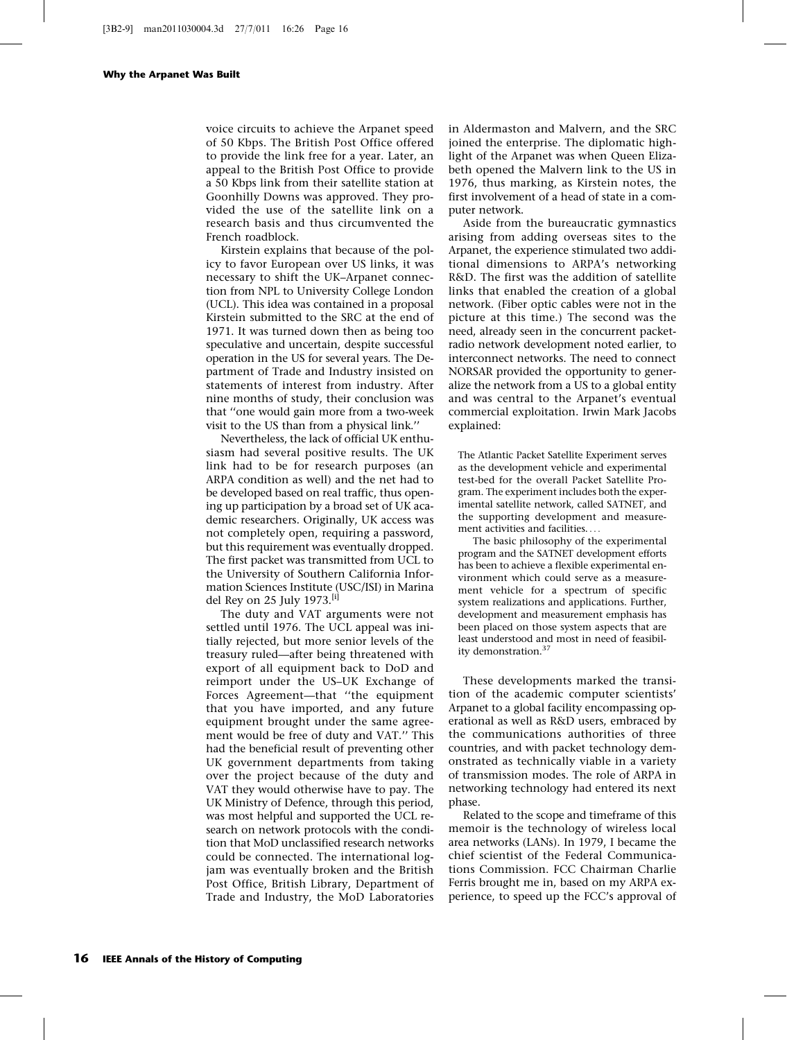voice circuits to achieve the Arpanet speed of 50 Kbps. The British Post Office offered to provide the link free for a year. Later, an appeal to the British Post Office to provide a 50 Kbps link from their satellite station at Goonhilly Downs was approved. They provided the use of the satellite link on a research basis and thus circumvented the French roadblock.

Kirstein explains that because of the policy to favor European over US links, it was necessary to shift the UK–Arpanet connection from NPL to University College London (UCL). This idea was contained in a proposal Kirstein submitted to the SRC at the end of 1971. It was turned down then as being too speculative and uncertain, despite successful operation in the US for several years. The Department of Trade and Industry insisted on statements of interest from industry. After nine months of study, their conclusion was that ''one would gain more from a two-week visit to the US than from a physical link.''

Nevertheless, the lack of official UK enthusiasm had several positive results. The UK link had to be for research purposes (an ARPA condition as well) and the net had to be developed based on real traffic, thus opening up participation by a broad set of UK academic researchers. Originally, UK access was not completely open, requiring a password, but this requirement was eventually dropped. The first packet was transmitted from UCL to the University of Southern California Information Sciences Institute (USC/ISI) in Marina del Rey on 25 July 1973.<sup>[i]</sup>

The duty and VAT arguments were not settled until 1976. The UCL appeal was initially rejected, but more senior levels of the treasury ruled—after being threatened with export of all equipment back to DoD and reimport under the US–UK Exchange of Forces Agreement—that ''the equipment that you have imported, and any future equipment brought under the same agreement would be free of duty and VAT.'' This had the beneficial result of preventing other UK government departments from taking over the project because of the duty and VAT they would otherwise have to pay. The UK Ministry of Defence, through this period, was most helpful and supported the UCL research on network protocols with the condition that MoD unclassified research networks could be connected. The international logjam was eventually broken and the British Post Office, British Library, Department of Trade and Industry, the MoD Laboratories in Aldermaston and Malvern, and the SRC joined the enterprise. The diplomatic highlight of the Arpanet was when Queen Elizabeth opened the Malvern link to the US in 1976, thus marking, as Kirstein notes, the first involvement of a head of state in a computer network.

Aside from the bureaucratic gymnastics arising from adding overseas sites to the Arpanet, the experience stimulated two additional dimensions to ARPA's networking R&D. The first was the addition of satellite links that enabled the creation of a global network. (Fiber optic cables were not in the picture at this time.) The second was the need, already seen in the concurrent packetradio network development noted earlier, to interconnect networks. The need to connect NORSAR provided the opportunity to generalize the network from a US to a global entity and was central to the Arpanet's eventual commercial exploitation. Irwin Mark Jacobs explained:

The Atlantic Packet Satellite Experiment serves as the development vehicle and experimental test-bed for the overall Packet Satellite Program. The experiment includes both the experimental satellite network, called SATNET, and the supporting development and measurement activities and facilities. ...

The basic philosophy of the experimental program and the SATNET development efforts has been to achieve a flexible experimental environment which could serve as a measurement vehicle for a spectrum of specific system realizations and applications. Further, development and measurement emphasis has been placed on those system aspects that are least understood and most in need of feasibility demonstration.37

These developments marked the transition of the academic computer scientists' Arpanet to a global facility encompassing operational as well as R&D users, embraced by the communications authorities of three countries, and with packet technology demonstrated as technically viable in a variety of transmission modes. The role of ARPA in networking technology had entered its next phase.

Related to the scope and timeframe of this memoir is the technology of wireless local area networks (LANs). In 1979, I became the chief scientist of the Federal Communications Commission. FCC Chairman Charlie Ferris brought me in, based on my ARPA experience, to speed up the FCC's approval of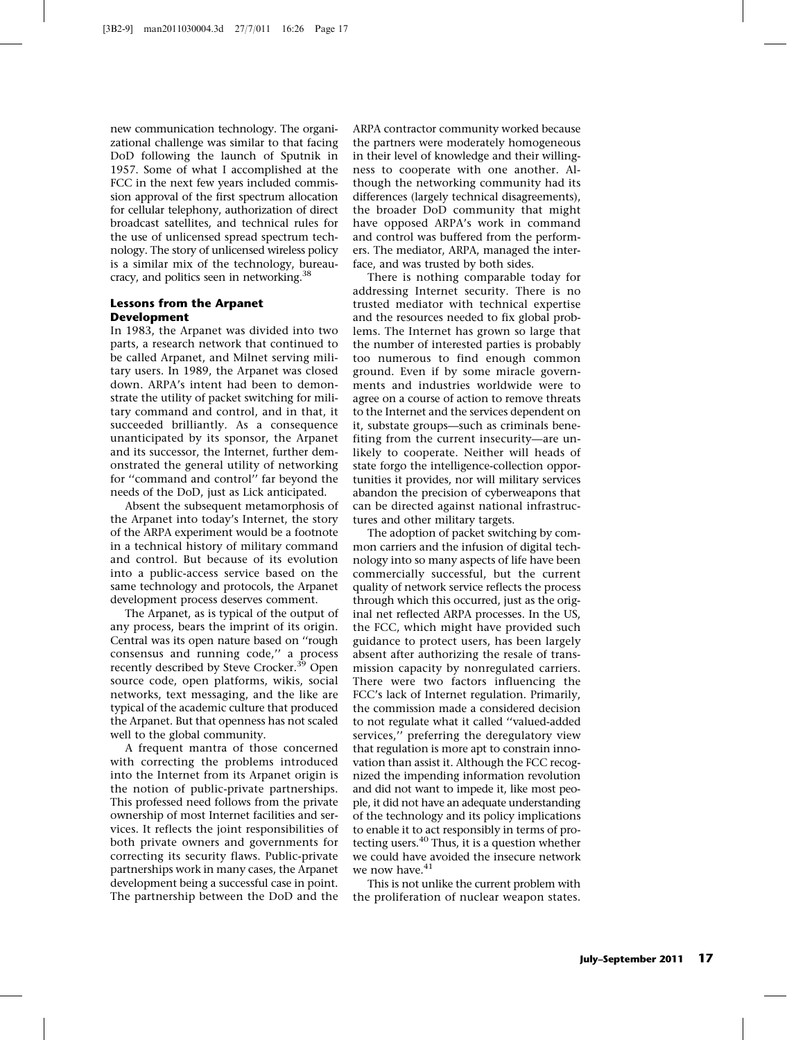new communication technology. The organizational challenge was similar to that facing DoD following the launch of Sputnik in 1957. Some of what I accomplished at the FCC in the next few years included commission approval of the first spectrum allocation for cellular telephony, authorization of direct broadcast satellites, and technical rules for the use of unlicensed spread spectrum technology. The story of unlicensed wireless policy is a similar mix of the technology, bureaucracy, and politics seen in networking.<sup>38</sup>

#### Lessons from the Arpanet Development

In 1983, the Arpanet was divided into two parts, a research network that continued to be called Arpanet, and Milnet serving military users. In 1989, the Arpanet was closed down. ARPA's intent had been to demonstrate the utility of packet switching for military command and control, and in that, it succeeded brilliantly. As a consequence unanticipated by its sponsor, the Arpanet and its successor, the Internet, further demonstrated the general utility of networking for ''command and control'' far beyond the needs of the DoD, just as Lick anticipated.

Absent the subsequent metamorphosis of the Arpanet into today's Internet, the story of the ARPA experiment would be a footnote in a technical history of military command and control. But because of its evolution into a public-access service based on the same technology and protocols, the Arpanet development process deserves comment.

The Arpanet, as is typical of the output of any process, bears the imprint of its origin. Central was its open nature based on ''rough consensus and running code,'' a process recently described by Steve Crocker.<sup>39</sup> Open source code, open platforms, wikis, social networks, text messaging, and the like are typical of the academic culture that produced the Arpanet. But that openness has not scaled well to the global community.

A frequent mantra of those concerned with correcting the problems introduced into the Internet from its Arpanet origin is the notion of public-private partnerships. This professed need follows from the private ownership of most Internet facilities and services. It reflects the joint responsibilities of both private owners and governments for correcting its security flaws. Public-private partnerships work in many cases, the Arpanet development being a successful case in point. The partnership between the DoD and the

ARPA contractor community worked because the partners were moderately homogeneous in their level of knowledge and their willingness to cooperate with one another. Although the networking community had its differences (largely technical disagreements), the broader DoD community that might have opposed ARPA's work in command and control was buffered from the performers. The mediator, ARPA, managed the interface, and was trusted by both sides.

There is nothing comparable today for addressing Internet security. There is no trusted mediator with technical expertise and the resources needed to fix global problems. The Internet has grown so large that the number of interested parties is probably too numerous to find enough common ground. Even if by some miracle governments and industries worldwide were to agree on a course of action to remove threats to the Internet and the services dependent on it, substate groups—such as criminals benefiting from the current insecurity—are unlikely to cooperate. Neither will heads of state forgo the intelligence-collection opportunities it provides, nor will military services abandon the precision of cyberweapons that can be directed against national infrastructures and other military targets.

The adoption of packet switching by common carriers and the infusion of digital technology into so many aspects of life have been commercially successful, but the current quality of network service reflects the process through which this occurred, just as the original net reflected ARPA processes. In the US, the FCC, which might have provided such guidance to protect users, has been largely absent after authorizing the resale of transmission capacity by nonregulated carriers. There were two factors influencing the FCC's lack of Internet regulation. Primarily, the commission made a considered decision to not regulate what it called ''valued-added services,'' preferring the deregulatory view that regulation is more apt to constrain innovation than assist it. Although the FCC recognized the impending information revolution and did not want to impede it, like most people, it did not have an adequate understanding of the technology and its policy implications to enable it to act responsibly in terms of protecting users.40 Thus, it is a question whether we could have avoided the insecure network we now have. $41$ 

This is not unlike the current problem with the proliferation of nuclear weapon states.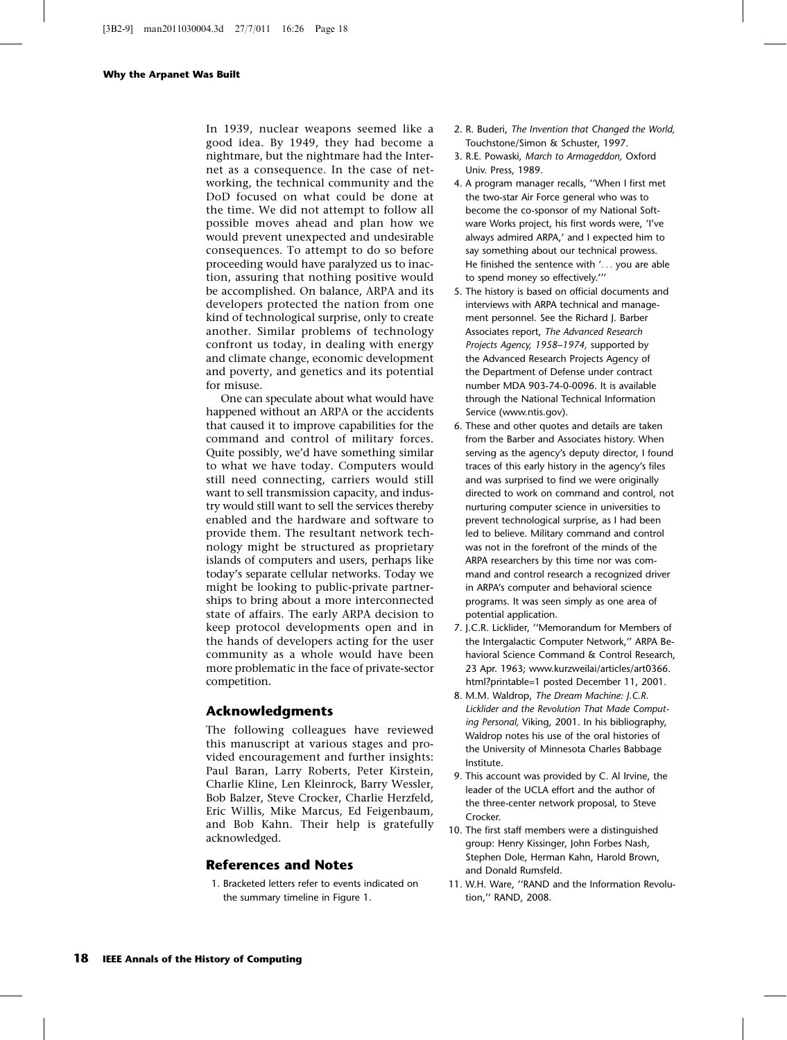In 1939, nuclear weapons seemed like a good idea. By 1949, they had become a nightmare, but the nightmare had the Internet as a consequence. In the case of networking, the technical community and the DoD focused on what could be done at the time. We did not attempt to follow all possible moves ahead and plan how we would prevent unexpected and undesirable consequences. To attempt to do so before proceeding would have paralyzed us to inaction, assuring that nothing positive would be accomplished. On balance, ARPA and its developers protected the nation from one kind of technological surprise, only to create another. Similar problems of technology confront us today, in dealing with energy and climate change, economic development and poverty, and genetics and its potential for misuse.

One can speculate about what would have happened without an ARPA or the accidents that caused it to improve capabilities for the command and control of military forces. Quite possibly, we'd have something similar to what we have today. Computers would still need connecting, carriers would still want to sell transmission capacity, and industry would still want to sell the services thereby enabled and the hardware and software to provide them. The resultant network technology might be structured as proprietary islands of computers and users, perhaps like today's separate cellular networks. Today we might be looking to public-private partnerships to bring about a more interconnected state of affairs. The early ARPA decision to keep protocol developments open and in the hands of developers acting for the user community as a whole would have been more problematic in the face of private-sector competition.

### Acknowledgments

The following colleagues have reviewed this manuscript at various stages and provided encouragement and further insights: Paul Baran, Larry Roberts, Peter Kirstein, Charlie Kline, Len Kleinrock, Barry Wessler, Bob Balzer, Steve Crocker, Charlie Herzfeld, Eric Willis, Mike Marcus, Ed Feigenbaum, and Bob Kahn. Their help is gratefully acknowledged.

## References and Notes

1. Bracketed letters refer to events indicated on the summary timeline in Figure 1.

- 2. R. Buderi, The Invention that Changed the World, Touchstone/Simon & Schuster, 1997.
- 3. R.E. Powaski, March to Armageddon, Oxford Univ. Press, 1989.
- 4. A program manager recalls, ''When I first met the two-star Air Force general who was to become the co-sponsor of my National Software Works project, his first words were, 'I've always admired ARPA,' and I expected him to say something about our technical prowess. He finished the sentence with '... you are able to spend money so effectively.'''
- 5. The history is based on official documents and interviews with ARPA technical and management personnel. See the Richard J. Barber Associates report, The Advanced Research Projects Agency, 1958–1974, supported by the Advanced Research Projects Agency of the Department of Defense under contract number MDA 903-74-0-0096. It is available through the National Technical Information Service (www.ntis.gov).
- 6. These and other quotes and details are taken from the Barber and Associates history. When serving as the agency's deputy director, I found traces of this early history in the agency's files and was surprised to find we were originally directed to work on command and control, not nurturing computer science in universities to prevent technological surprise, as I had been led to believe. Military command and control was not in the forefront of the minds of the ARPA researchers by this time nor was command and control research a recognized driver in ARPA's computer and behavioral science programs. It was seen simply as one area of potential application.
- 7. J.C.R. Licklider, ''Memorandum for Members of the Intergalactic Computer Network,'' ARPA Behavioral Science Command & Control Research, 23 Apr. 1963; www.kurzweilai/articles/art0366. html?printable=1 posted December 11, 2001.
- 8. M.M. Waldrop, The Dream Machine: J.C.R. Licklider and the Revolution That Made Computing Personal, Viking, 2001. In his bibliography, Waldrop notes his use of the oral histories of the University of Minnesota Charles Babbage Institute.
- 9. This account was provided by C. Al Irvine, the leader of the UCLA effort and the author of the three-center network proposal, to Steve Crocker.
- 10. The first staff members were a distinguished group: Henry Kissinger, John Forbes Nash, Stephen Dole, Herman Kahn, Harold Brown, and Donald Rumsfeld.
- 11. W.H. Ware, ''RAND and the Information Revolution,'' RAND, 2008.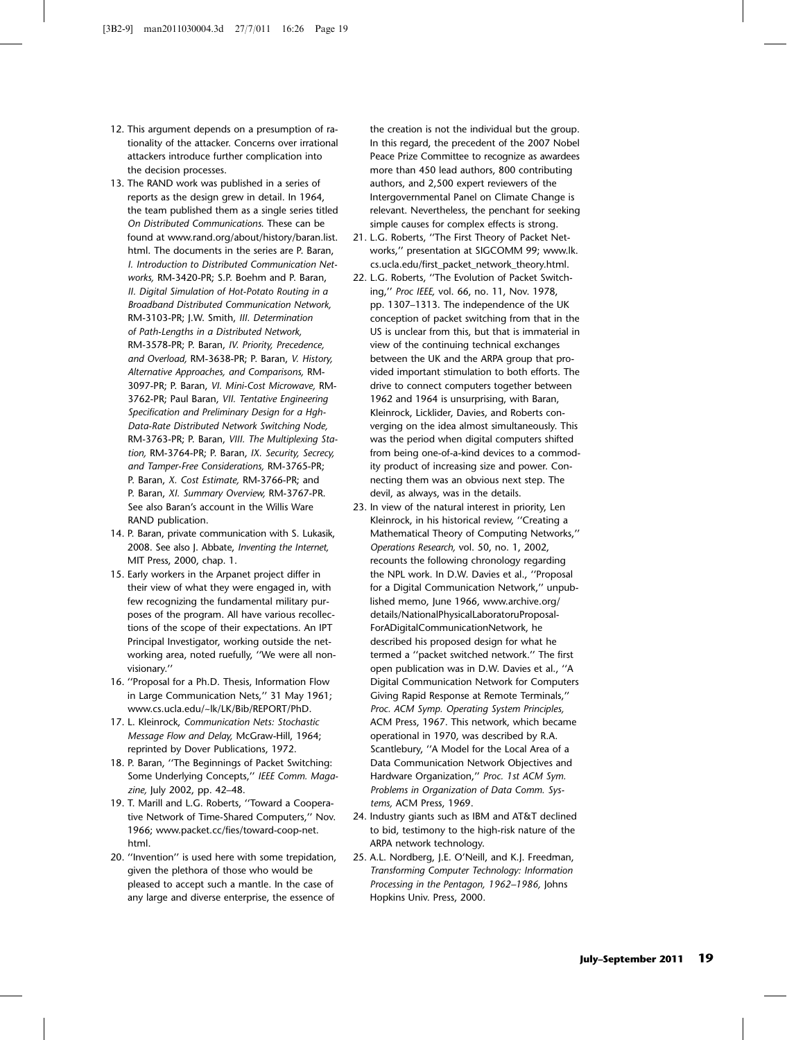- 12. This argument depends on a presumption of rationality of the attacker. Concerns over irrational attackers introduce further complication into the decision processes.
- 13. The RAND work was published in a series of reports as the design grew in detail. In 1964, the team published them as a single series titled On Distributed Communications. These can be found at www.rand.org/about/history/baran.list. html. The documents in the series are P. Baran, I. Introduction to Distributed Communication Networks, RM-3420-PR; S.P. Boehm and P. Baran, II. Digital Simulation of Hot-Potato Routing in a Broadband Distributed Communication Network, RM-3103-PR; J.W. Smith, III. Determination of Path-Lengths in a Distributed Network, RM-3578-PR; P. Baran, IV. Priority, Precedence, and Overload, RM-3638-PR; P. Baran, V. History, Alternative Approaches, and Comparisons, RM-3097-PR; P. Baran, VI. Mini-Cost Microwave, RM-3762-PR; Paul Baran, VII. Tentative Engineering Specification and Preliminary Design for a Hgh-Data-Rate Distributed Network Switching Node, RM-3763-PR; P. Baran, VIII. The Multiplexing Station, RM-3764-PR; P. Baran, IX. Security, Secrecy, and Tamper-Free Considerations, RM-3765-PR; P. Baran, X. Cost Estimate, RM-3766-PR; and P. Baran, XI. Summary Overview, RM-3767-PR. See also Baran's account in the Willis Ware RAND publication.
- 14. P. Baran, private communication with S. Lukasik, 2008. See also J. Abbate, Inventing the Internet, MIT Press, 2000, chap. 1.
- 15. Early workers in the Arpanet project differ in their view of what they were engaged in, with few recognizing the fundamental military purposes of the program. All have various recollections of the scope of their expectations. An IPT Principal Investigator, working outside the networking area, noted ruefully, ''We were all nonvisionary.''
- 16. ''Proposal for a Ph.D. Thesis, Information Flow in Large Communication Nets,'' 31 May 1961; www.cs.ucla.edu/~lk/LK/Bib/REPORT/PhD.
- 17. L. Kleinrock, Communication Nets: Stochastic Message Flow and Delay, McGraw-Hill, 1964; reprinted by Dover Publications, 1972.
- 18. P. Baran, ''The Beginnings of Packet Switching: Some Underlying Concepts,'' IEEE Comm. Magazine, July 2002, pp. 42-48.
- 19. T. Marill and L.G. Roberts, ''Toward a Cooperative Network of Time-Shared Computers,'' Nov. 1966; www.packet.cc/fies/toward-coop-net. html.
- 20. ''Invention'' is used here with some trepidation, given the plethora of those who would be pleased to accept such a mantle. In the case of any large and diverse enterprise, the essence of

the creation is not the individual but the group. In this regard, the precedent of the 2007 Nobel Peace Prize Committee to recognize as awardees more than 450 lead authors, 800 contributing authors, and 2,500 expert reviewers of the Intergovernmental Panel on Climate Change is relevant. Nevertheless, the penchant for seeking simple causes for complex effects is strong.

- 21. L.G. Roberts, ''The First Theory of Packet Networks,'' presentation at SIGCOMM 99; www.lk. cs.ucla.edu/first\_packet\_network\_theory.html.
- 22. L.G. Roberts, ''The Evolution of Packet Switching,'' Proc IEEE, vol. 66, no. 11, Nov. 1978, pp. 1307–1313. The independence of the UK conception of packet switching from that in the US is unclear from this, but that is immaterial in view of the continuing technical exchanges between the UK and the ARPA group that provided important stimulation to both efforts. The drive to connect computers together between 1962 and 1964 is unsurprising, with Baran, Kleinrock, Licklider, Davies, and Roberts converging on the idea almost simultaneously. This was the period when digital computers shifted from being one-of-a-kind devices to a commodity product of increasing size and power. Connecting them was an obvious next step. The devil, as always, was in the details.
- 23. In view of the natural interest in priority, Len Kleinrock, in his historical review, ''Creating a Mathematical Theory of Computing Networks,'' Operations Research, vol. 50, no. 1, 2002, recounts the following chronology regarding the NPL work. In D.W. Davies et al., ''Proposal for a Digital Communication Network,'' unpublished memo, June 1966, www.archive.org/ details/NationalPhysicalLaboratoruProposal-ForADigitalCommunicationNetwork, he described his proposed design for what he termed a ''packet switched network.'' The first open publication was in D.W. Davies et al., ''A Digital Communication Network for Computers Giving Rapid Response at Remote Terminals,'' Proc. ACM Symp. Operating System Principles, ACM Press, 1967. This network, which became operational in 1970, was described by R.A. Scantlebury, ''A Model for the Local Area of a Data Communication Network Objectives and Hardware Organization,'' Proc. 1st ACM Sym. Problems in Organization of Data Comm. Systems, ACM Press, 1969.
- 24. Industry giants such as IBM and AT&T declined to bid, testimony to the high-risk nature of the ARPA network technology.
- 25. A.L. Nordberg, J.E. O'Neill, and K.J. Freedman, Transforming Computer Technology: Information Processing in the Pentagon, 1962–1986, Johns Hopkins Univ. Press, 2000.